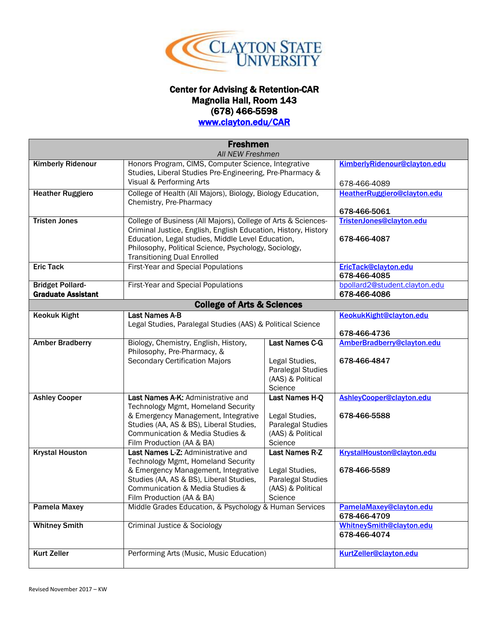

## Center for Advising & Retention-CAR Magnolia Hall, Room 143 (678) 466-5598

## [www.clayton.edu/CAR](http://www.clayton.edu/CAR)

|                                                      | <b>Freshmen</b>                                                                                                                                                                                                                                                                     |                                                                                              |                                                                       |  |  |
|------------------------------------------------------|-------------------------------------------------------------------------------------------------------------------------------------------------------------------------------------------------------------------------------------------------------------------------------------|----------------------------------------------------------------------------------------------|-----------------------------------------------------------------------|--|--|
|                                                      | <b>All NEW Freshmen</b>                                                                                                                                                                                                                                                             |                                                                                              |                                                                       |  |  |
| <b>Kimberly Ridenour</b>                             | Honors Program, CIMS, Computer Science, Integrative<br>Studies, Liberal Studies Pre-Engineering, Pre-Pharmacy &<br>Visual & Performing Arts                                                                                                                                         |                                                                                              | KimberlyRidenour@clayton.edu<br>678-466-4089                          |  |  |
| <b>Heather Ruggiero</b>                              | College of Health (All Majors), Biology, Biology Education,<br>Chemistry, Pre-Pharmacy                                                                                                                                                                                              |                                                                                              | HeatherRuggiero@clayton.edu<br>678-466-5061                           |  |  |
| <b>Tristen Jones</b>                                 | College of Business (All Majors), College of Arts & Sciences-<br>Criminal Justice, English, English Education, History, History<br>Education, Legal studies, Middle Level Education,<br>Philosophy, Political Science, Psychology, Sociology,<br><b>Transitioning Dual Enrolled</b> |                                                                                              | TristenJones@clayton.edu<br>678-466-4087                              |  |  |
| <b>Eric Tack</b>                                     | First-Year and Special Populations                                                                                                                                                                                                                                                  |                                                                                              | EricTack@clayton.edu<br>678-466-4085                                  |  |  |
| <b>Bridget Pollard-</b><br><b>Graduate Assistant</b> | First-Year and Special Populations                                                                                                                                                                                                                                                  |                                                                                              | bpollard2@student.clayton.edu<br>678-466-4086                         |  |  |
| <b>College of Arts &amp; Sciences</b>                |                                                                                                                                                                                                                                                                                     |                                                                                              |                                                                       |  |  |
| <b>Keokuk Kight</b>                                  | <b>Last Names A-B</b><br>Legal Studies, Paralegal Studies (AAS) & Political Science                                                                                                                                                                                                 |                                                                                              | KeokukKight@clayton.edu<br>678-466-4736                               |  |  |
| <b>Amber Bradberry</b>                               | Biology, Chemistry, English, History,<br>Philosophy, Pre-Pharmacy, &<br><b>Secondary Certification Majors</b>                                                                                                                                                                       | Last Names C-G<br>Legal Studies,<br>Paralegal Studies<br>(AAS) & Political<br>Science        | AmberBradberry@clayton.edu<br>678-466-4847                            |  |  |
| <b>Ashley Cooper</b>                                 | Last Names A-K: Administrative and<br>Technology Mgmt, Homeland Security<br>& Emergency Management, Integrative<br>Studies (AA, AS & BS), Liberal Studies,<br>Communication & Media Studies &<br>Film Production (AA & BA)                                                          | Last Names H-Q<br>Legal Studies,<br>Paralegal Studies<br>(AAS) & Political<br>Science        | AshleyCooper@clayton.edu<br>678-466-5588                              |  |  |
| <b>Krystal Houston</b>                               | Last Names L-Z: Administrative and<br>Technology Mgmt, Homeland Security<br>& Emergency Management, Integrative<br>Studies (AA, AS & BS), Liberal Studies,<br>Communication & Media Studies &<br>Film Production (AA & BA)                                                          | <b>Last Names R-Z</b><br>Legal Studies,<br>Paralegal Studies<br>(AAS) & Political<br>Science | KrystalHouston@clayton.edu<br>678-466-5589<br>PamelaMaxey@clayton.edu |  |  |
| <b>Pamela Maxey</b>                                  |                                                                                                                                                                                                                                                                                     | Middle Grades Education, & Psychology & Human Services                                       |                                                                       |  |  |
| <b>Whitney Smith</b>                                 | <b>Criminal Justice &amp; Sociology</b>                                                                                                                                                                                                                                             |                                                                                              | WhitneySmith@clayton.edu<br>678-466-4074                              |  |  |
| <b>Kurt Zeller</b>                                   | Performing Arts (Music, Music Education)                                                                                                                                                                                                                                            |                                                                                              | KurtZeller@clayton.edu                                                |  |  |